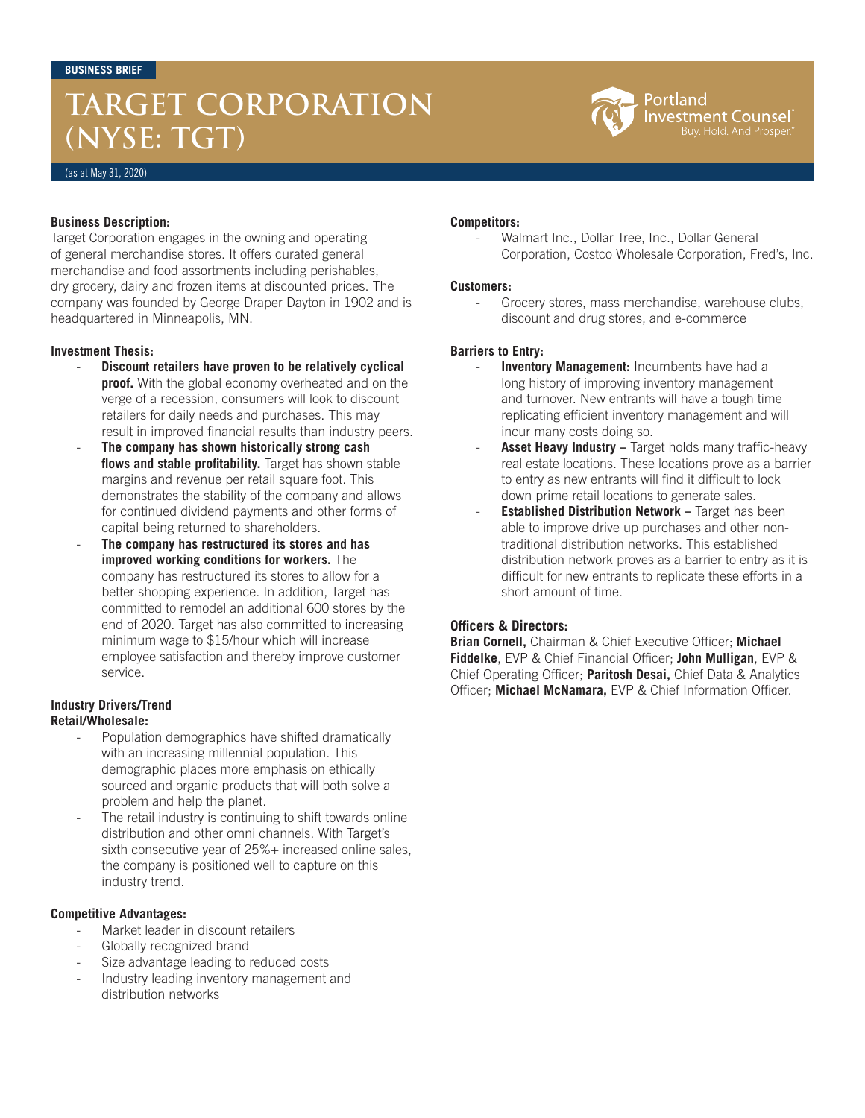# **TARGET CORPORATION (NYSE: TGT)**



(as at May 31, 2020)

### **Business Description:**

Target Corporation engages in the owning and operating of general merchandise stores. It offers curated general merchandise and food assortments including perishables, dry grocery, dairy and frozen items at discounted prices. The company was founded by George Draper Dayton in 1902 and is headquartered in Minneapolis, MN.

### **Investment Thesis:**

- **Discount retailers have proven to be relatively cyclical proof.** With the global economy overheated and on the verge of a recession, consumers will look to discount retailers for daily needs and purchases. This may result in improved financial results than industry peers.
- The company has shown historically strong cash **flows and stable profitability.** Target has shown stable margins and revenue per retail square foot. This demonstrates the stability of the company and allows for continued dividend payments and other forms of capital being returned to shareholders.
- **The company has restructured its stores and has improved working conditions for workers.** The company has restructured its stores to allow for a better shopping experience. In addition, Target has committed to remodel an additional 600 stores by the end of 2020. Target has also committed to increasing minimum wage to \$15/hour which will increase employee satisfaction and thereby improve customer service.

#### **Industry Drivers/Trend Retail/Wholesale:**

- Population demographics have shifted dramatically with an increasing millennial population. This demographic places more emphasis on ethically sourced and organic products that will both solve a problem and help the planet.
- The retail industry is continuing to shift towards online distribution and other omni channels. With Target's sixth consecutive year of 25%+ increased online sales. the company is positioned well to capture on this industry trend.

#### **Competitive Advantages:**

- Market leader in discount retailers
- Globally recognized brand
- Size advantage leading to reduced costs
- Industry leading inventory management and distribution networks

#### **Competitors:**

Walmart Inc., Dollar Tree, Inc., Dollar General Corporation, Costco Wholesale Corporation, Fred's, Inc.

#### **Customers:**

Grocery stores, mass merchandise, warehouse clubs, discount and drug stores, and e-commerce

## **Barriers to Entry:**

- **Inventory Management:** Incumbents have had a long history of improving inventory management and turnover. New entrants will have a tough time replicating efficient inventory management and will incur many costs doing so.
- Asset Heavy Industry Target holds many traffic-heavy real estate locations. These locations prove as a barrier to entry as new entrants will find it difficult to lock down prime retail locations to generate sales.
- **Established Distribution Network Target has been** able to improve drive up purchases and other nontraditional distribution networks. This established distribution network proves as a barrier to entry as it is difficult for new entrants to replicate these efforts in a short amount of time.

## **Officers & Directors:**

**Brian Cornell,** Chairman & Chief Executive Officer; **Michael Fiddelke**, EVP & Chief Financial Officer; **John Mulligan**, EVP & Chief Operating Officer; **Paritosh Desai,** Chief Data & Analytics Officer; **Michael McNamara,** EVP & Chief Information Officer.